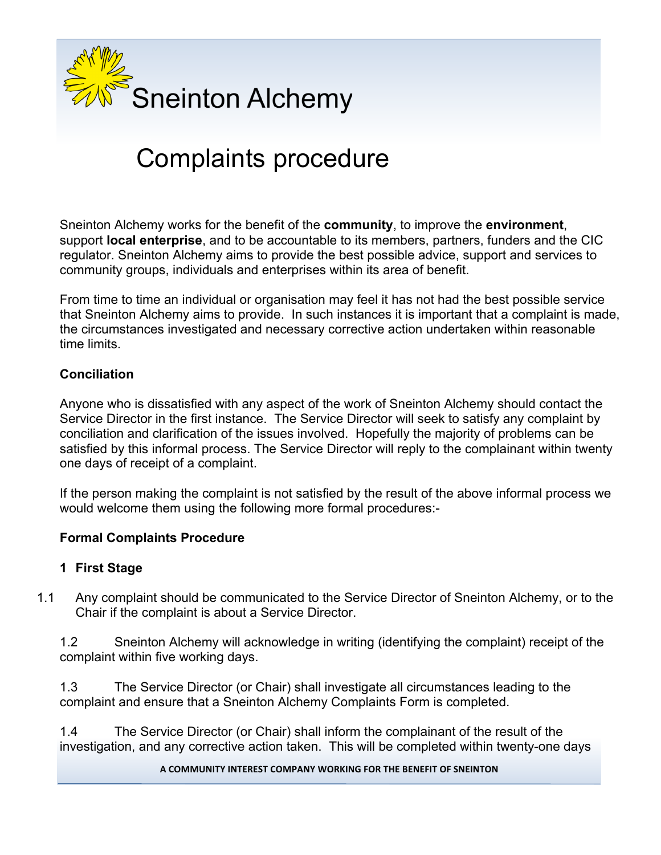

# Complaints procedure

Sneinton Alchemy works for the benefit of the **community**, to improve the **environment**, support **local enterprise**, and to be accountable to its members, partners, funders and the CIC regulator. Sneinton Alchemy aims to provide the best possible advice, support and services to community groups, individuals and enterprises within its area of benefit.

From time to time an individual or organisation may feel it has not had the best possible service that Sneinton Alchemy aims to provide. In such instances it is important that a complaint is made, the circumstances investigated and necessary corrective action undertaken within reasonable time limits.

### **Conciliation**

Anyone who is dissatisfied with any aspect of the work of Sneinton Alchemy should contact the Service Director in the first instance. The Service Director will seek to satisfy any complaint by conciliation and clarification of the issues involved. Hopefully the majority of problems can be satisfied by this informal process. The Service Director will reply to the complainant within twenty one days of receipt of a complaint.

If the person making the complaint is not satisfied by the result of the above informal process we would welcome them using the following more formal procedures:-

### **Formal Complaints Procedure**

#### **1 First Stage**

1.1 Any complaint should be communicated to the Service Director of Sneinton Alchemy, or to the Chair if the complaint is about a Service Director.

1.2 Sneinton Alchemy will acknowledge in writing (identifying the complaint) receipt of the complaint within five working days.

1.3 The Service Director (or Chair) shall investigate all circumstances leading to the complaint and ensure that a Sneinton Alchemy Complaints Form is completed.

1.4 The Service Director (or Chair) shall inform the complainant of the result of the investigation, and any corrective action taken. This will be completed within twenty-one days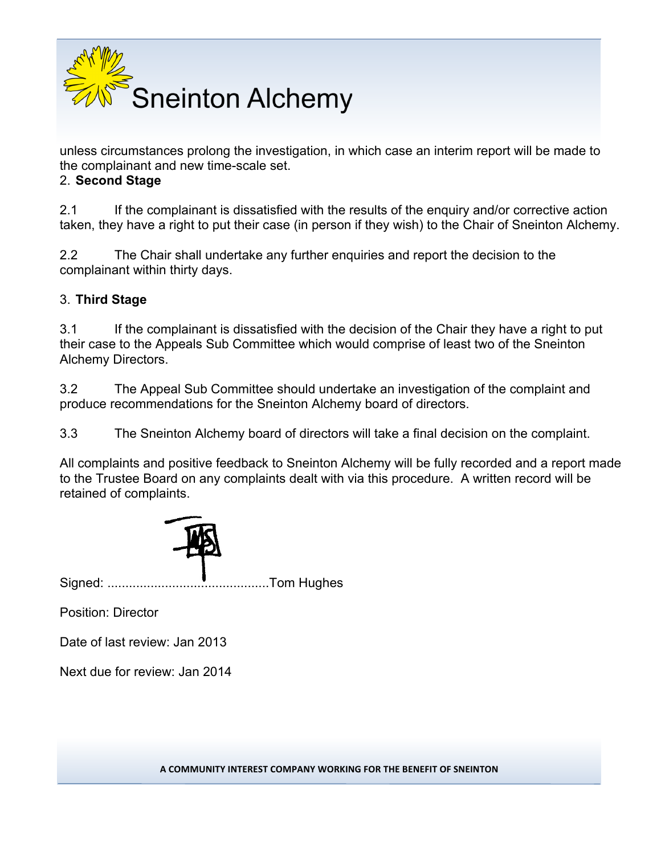

unless circumstances prolong the investigation, in which case an interim report will be made to the complainant and new time-scale set.

#### 2. **Second Stage**

2.1 If the complainant is dissatisfied with the results of the enquiry and/or corrective action taken, they have a right to put their case (in person if they wish) to the Chair of Sneinton Alchemy.

2.2 The Chair shall undertake any further enquiries and report the decision to the complainant within thirty days.

### 3. **Third Stage**

3.1 If the complainant is dissatisfied with the decision of the Chair they have a right to put their case to the Appeals Sub Committee which would comprise of least two of the Sneinton Alchemy Directors.

3.2 The Appeal Sub Committee should undertake an investigation of the complaint and produce recommendations for the Sneinton Alchemy board of directors.

3.3 The Sneinton Alchemy board of directors will take a final decision on the complaint.

All complaints and positive feedback to Sneinton Alchemy will be fully recorded and a report made to the Trustee Board on any complaints dealt with via this procedure. A written record will be retained of complaints.



Signed: .............................................Tom Hughes

Position: Director

Date of last review: Jan 2013

Next due for review: Jan 2014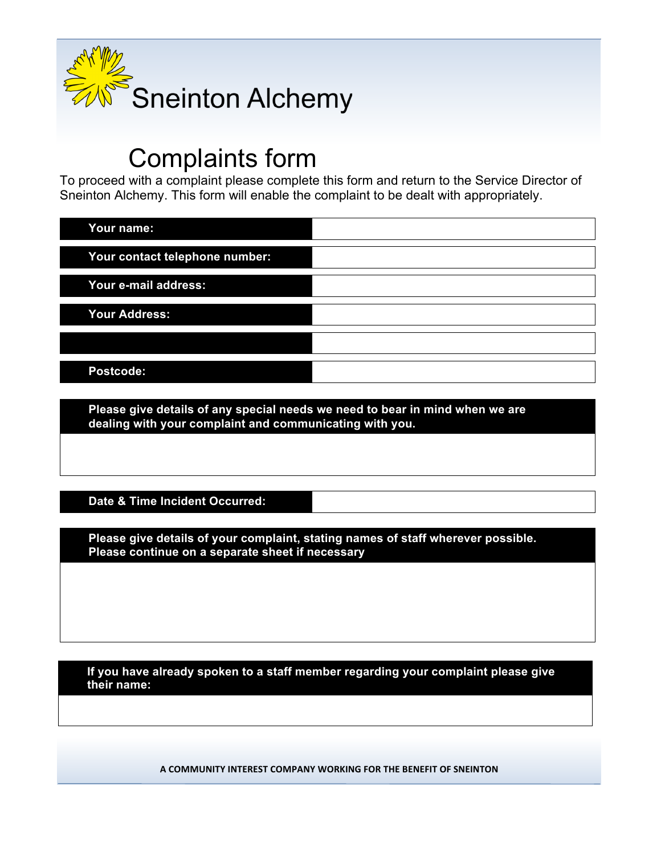

## Complaints form

To proceed with a complaint please complete this form and return to the Service Director of Sneinton Alchemy. This form will enable the complaint to be dealt with appropriately.

| Your name:                     |  |
|--------------------------------|--|
| Your contact telephone number: |  |
| Your e-mail address:           |  |
| <b>Your Address:</b>           |  |
|                                |  |
| Postcode:                      |  |

**Please give details of any special needs we need to bear in mind when we are dealing with your complaint and communicating with you.**

### **Date & Time Incident Occurred:**

**Please give details of your complaint, stating names of staff wherever possible. Please continue on a separate sheet if necessary** 

**If you have already spoken to a staff member regarding your complaint please give their name:**